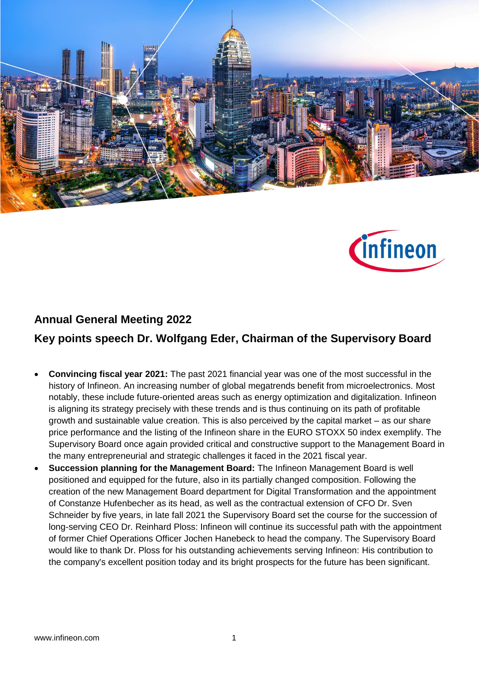



## **Annual General Meeting 2022**

## **Key points speech Dr. Wolfgang Eder, Chairman of the Supervisory Board**

- **Convincing fiscal year 2021:** The past 2021 financial year was one of the most successful in the history of Infineon. An increasing number of global megatrends benefit from microelectronics. Most notably, these include future-oriented areas such as energy optimization and digitalization. Infineon is aligning its strategy precisely with these trends and is thus continuing on its path of profitable growth and sustainable value creation. This is also perceived by the capital market – as our share price performance and the listing of the Infineon share in the EURO STOXX 50 index exemplify. The Supervisory Board once again provided critical and constructive support to the Management Board in the many entrepreneurial and strategic challenges it faced in the 2021 fiscal year.
- **Succession planning for the Management Board:** The Infineon Management Board is well positioned and equipped for the future, also in its partially changed composition. Following the creation of the new Management Board department for Digital Transformation and the appointment of Constanze Hufenbecher as its head, as well as the contractual extension of CFO Dr. Sven Schneider by five years, in late fall 2021 the Supervisory Board set the course for the succession of long-serving CEO Dr. Reinhard Ploss: Infineon will continue its successful path with the appointment of former Chief Operations Officer Jochen Hanebeck to head the company. The Supervisory Board would like to thank Dr. Ploss for his outstanding achievements serving Infineon: His contribution to the company's excellent position today and its bright prospects for the future has been significant.